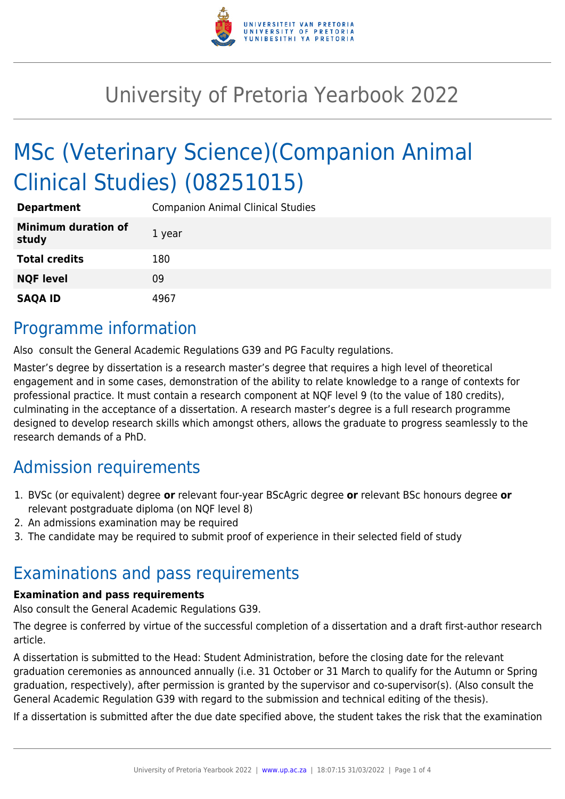

# University of Pretoria Yearbook 2022

# MSc (Veterinary Science)(Companion Animal Clinical Studies) (08251015)

| <b>Department</b>                   | <b>Companion Animal Clinical Studies</b> |
|-------------------------------------|------------------------------------------|
| <b>Minimum duration of</b><br>study | 1 year                                   |
| <b>Total credits</b>                | 180                                      |
| <b>NQF level</b>                    | 09                                       |
| <b>SAQA ID</b>                      | 4967                                     |

## Programme information

Also consult the General Academic Regulations G39 and PG Faculty regulations.

Master's degree by dissertation is a research master's degree that requires a high level of theoretical engagement and in some cases, demonstration of the ability to relate knowledge to a range of contexts for professional practice. It must contain a research component at NQF level 9 (to the value of 180 credits), culminating in the acceptance of a dissertation. A research master's degree is a full research programme designed to develop research skills which amongst others, allows the graduate to progress seamlessly to the research demands of a PhD.

# Admission requirements

- 1. BVSc (or equivalent) degree **or** relevant four-year BScAgric degree **or** relevant BSc honours degree **or** relevant postgraduate diploma (on NQF level 8)
- 2. An admissions examination may be required
- 3. The candidate may be required to submit proof of experience in their selected field of study

## Examinations and pass requirements

#### **Examination and pass requirements**

Also consult the General Academic Regulations G39.

The degree is conferred by virtue of the successful completion of a dissertation and a draft first-author research article.

A dissertation is submitted to the Head: Student Administration, before the closing date for the relevant graduation ceremonies as announced annually (i.e. 31 October or 31 March to qualify for the Autumn or Spring graduation, respectively), after permission is granted by the supervisor and co-supervisor(s). (Also consult the General Academic Regulation G39 with regard to the submission and technical editing of the thesis).

If a dissertation is submitted after the due date specified above, the student takes the risk that the examination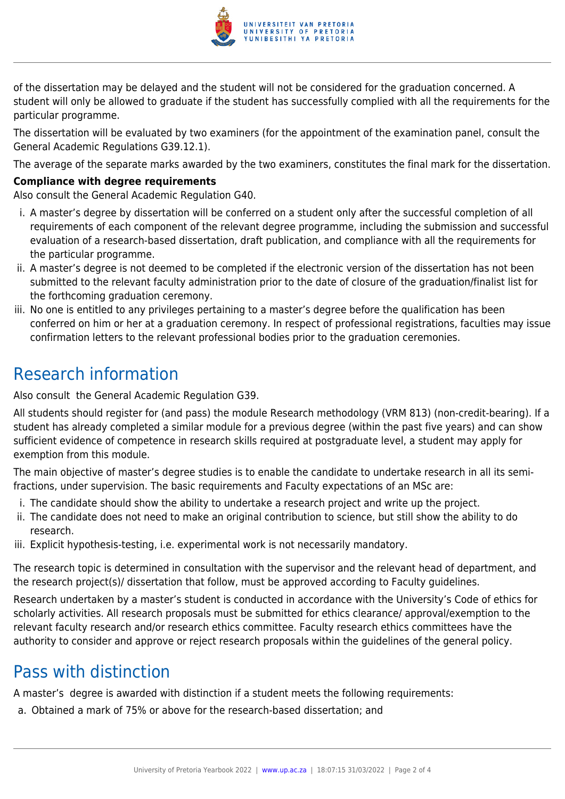

of the dissertation may be delayed and the student will not be considered for the graduation concerned. A student will only be allowed to graduate if the student has successfully complied with all the requirements for the particular programme.

The dissertation will be evaluated by two examiners (for the appointment of the examination panel, consult the General Academic Regulations G39.12.1).

The average of the separate marks awarded by the two examiners, constitutes the final mark for the dissertation.

#### **Compliance with degree requirements**

Also consult the General Academic Regulation G40.

- i. A master's degree by dissertation will be conferred on a student only after the successful completion of all requirements of each component of the relevant degree programme, including the submission and successful evaluation of a research-based dissertation, draft publication, and compliance with all the requirements for the particular programme.
- ii. A master's degree is not deemed to be completed if the electronic version of the dissertation has not been submitted to the relevant faculty administration prior to the date of closure of the graduation/finalist list for the forthcoming graduation ceremony.
- iii. No one is entitled to any privileges pertaining to a master's degree before the qualification has been conferred on him or her at a graduation ceremony. In respect of professional registrations, faculties may issue confirmation letters to the relevant professional bodies prior to the graduation ceremonies.

# Research information

Also consult the General Academic Regulation G39.

All students should register for (and pass) the module Research methodology (VRM 813) (non-credit-bearing). If a student has already completed a similar module for a previous degree (within the past five years) and can show sufficient evidence of competence in research skills required at postgraduate level, a student may apply for exemption from this module.

The main objective of master's degree studies is to enable the candidate to undertake research in all its semifractions, under supervision. The basic requirements and Faculty expectations of an MSc are:

- i. The candidate should show the ability to undertake a research project and write up the project.
- ii. The candidate does not need to make an original contribution to science, but still show the ability to do research.
- iii. Explicit hypothesis-testing, i.e. experimental work is not necessarily mandatory.

The research topic is determined in consultation with the supervisor and the relevant head of department, and the research project(s)/ dissertation that follow, must be approved according to Faculty guidelines.

Research undertaken by a master's student is conducted in accordance with the University's Code of ethics for scholarly activities. All research proposals must be submitted for ethics clearance/ approval/exemption to the relevant faculty research and/or research ethics committee. Faculty research ethics committees have the authority to consider and approve or reject research proposals within the guidelines of the general policy.

## Pass with distinction

A master's degree is awarded with distinction if a student meets the following requirements:

a. Obtained a mark of 75% or above for the research-based dissertation; and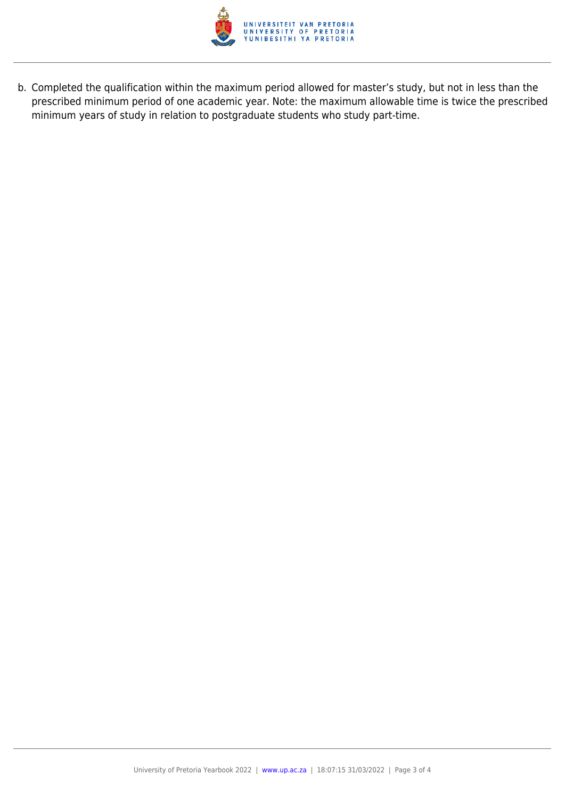

b. Completed the qualification within the maximum period allowed for master's study, but not in less than the prescribed minimum period of one academic year. Note: the maximum allowable time is twice the prescribed minimum years of study in relation to postgraduate students who study part-time.